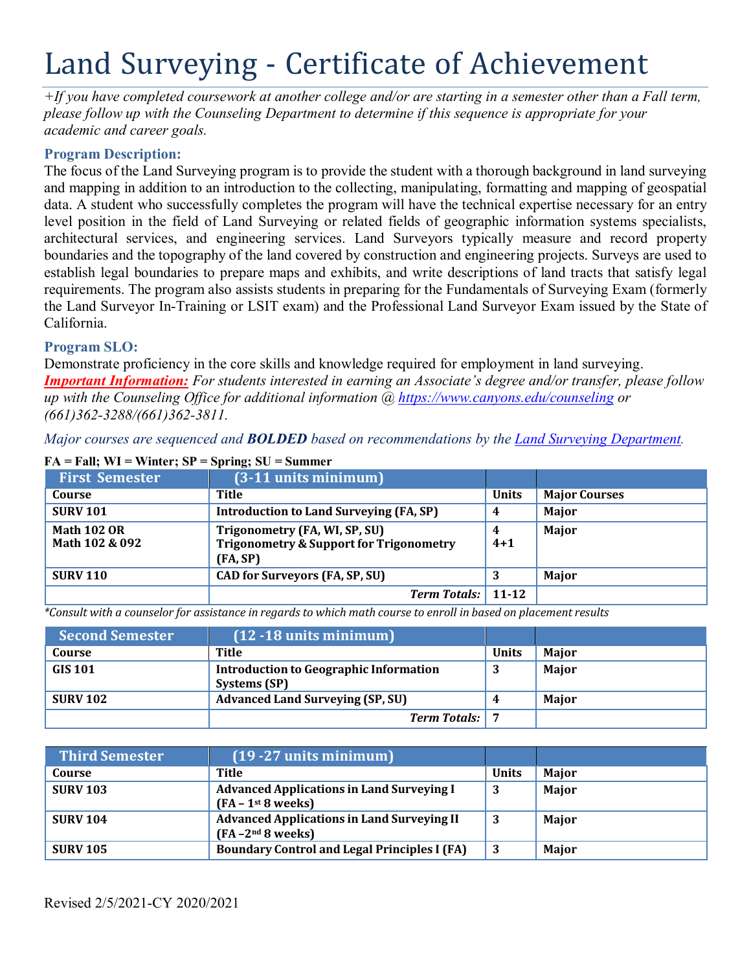# Land Surveying - Certificate of Achievement

*+If you have completed coursework at another college and/or are starting in a semester other than a Fall term, please follow up with the Counseling Department to determine if this sequence is appropriate for your academic and career goals.*

## **Program Description:**

The focus of the Land Surveying program is to provide the student with a thorough background in land surveying and mapping in addition to an introduction to the collecting, manipulating, formatting and mapping of geospatial data. A student who successfully completes the program will have the technical expertise necessary for an entry level position in the field of Land Surveying or related fields of geographic information systems specialists, architectural services, and engineering services. Land Surveyors typically measure and record property boundaries and the topography of the land covered by construction and engineering projects. Surveys are used to establish legal boundaries to prepare maps and exhibits, and write descriptions of land tracts that satisfy legal requirements. The program also assists students in preparing for the Fundamentals of Surveying Exam (formerly the Land Surveyor In-Training or LSIT exam) and the Professional Land Surveyor Exam issued by the State of California.

### **Program SLO:**

Demonstrate proficiency in the core skills and knowledge required for employment in land surveying. *Important Information: For students interested in earning an Associate's degree and/or transfer, please follow up with the Counseling Office for additional information @ https:/[/www.canyons.edu/counseling](http://www.canyons.edu/counseling) or (661)362-3288/(661)362-3811.*

*Major courses are sequenced and BOLDED based on recommendations by the Land Surveying Department.*

| <b>First Semester</b>                | $(3-11$ units minimum)                                                                          |              |                      |
|--------------------------------------|-------------------------------------------------------------------------------------------------|--------------|----------------------|
| Course                               | Title                                                                                           | <b>Units</b> | <b>Major Courses</b> |
| <b>SURV 101</b>                      | <b>Introduction to Land Surveying (FA, SP)</b>                                                  | 4            | Major                |
| <b>Math 102 OR</b><br>Math 102 & 092 | Trigonometry (FA, WI, SP, SU)<br><b>Trigonometry &amp; Support for Trigonometry</b><br>(FA, SP) | 4<br>$4 + 1$ | Major                |
| <b>SURV 110</b>                      | <b>CAD for Surveyors (FA, SP, SU)</b>                                                           |              | <b>Major</b>         |
|                                      | <b>Term Totals:</b> 11-12                                                                       |              |                      |

#### **FA = Fall; WI = Winter; SP = Spring; SU = Summer**

\*Consult with a counselor for assistance in regards to which math course to enroll in based on placement results

| <b>Second Semester</b> | $(12 - 18$ units minimum)                                     |              |              |
|------------------------|---------------------------------------------------------------|--------------|--------------|
| Course                 | Title                                                         | <b>Units</b> | <b>Maior</b> |
| <b>GIS 101</b>         | <b>Introduction to Geographic Information</b><br>Systems (SP) |              | <b>Major</b> |
| <b>SURV 102</b>        | <b>Advanced Land Surveying (SP, SU)</b>                       |              | <b>Maior</b> |
|                        | <b>Term Totals:</b>                                           |              |              |

| <b>Third Semester</b> | $(19 - 27$ units minimum)                                                 |              |              |
|-----------------------|---------------------------------------------------------------------------|--------------|--------------|
| Course                | Title                                                                     | <b>Units</b> | <b>Maior</b> |
| <b>SURV 103</b>       | <b>Advanced Applications in Land Surveying I</b><br>$FA - 1st 8 weeks$    | 3            | Major        |
| <b>SURV 104</b>       | <b>Advanced Applications in Land Surveying II</b><br>$(FA - 2nd 8 weeks)$ | 3            | Major        |
| <b>SURV 105</b>       | <b>Boundary Control and Legal Principles I (FA)</b>                       |              | Major        |